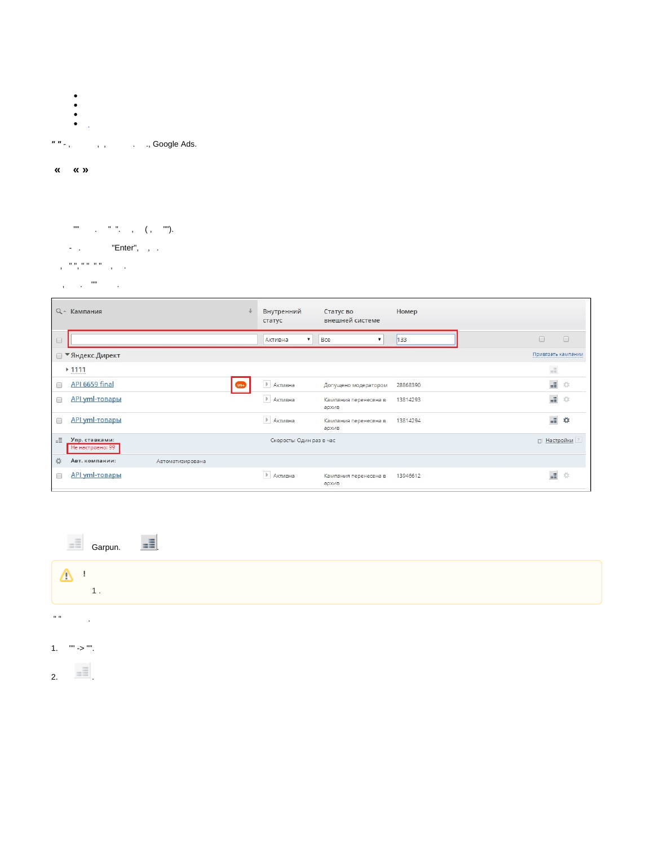- 
- 
- 
- $" " ,$ , , , , , , , Google Ads.
- $\begin{array}{ccccc}\n\mathbf{K} & \mathbf{K} & \mathbf{W}\n\end{array}$
- $\begin{array}{ccccccccc} \mathfrak{m} & & & & \mathfrak{n} & \mathfrak{m} & & \\ & & & \mathfrak{m} & \mathfrak{m} & & \\ & & & & \mathfrak{m} & & \\ & & & & & \mathfrak{m} & & \\ \end{array} \qquad \qquad \begin{array}{ccccccccc} & & & & \mathfrak{m} & \mathfrak{m} \\ & & & & \mathfrak{m} & & \\ & & & & \mathfrak{m} & & \\ & & & & & \mathfrak{m} & & \\ \end{array}$
- $\blacksquare$   $\blacksquare$   $\blacksquare$   $\blacksquare$   $\blacksquare$   $\blacksquare$   $\blacksquare$   $\blacksquare$   $\blacksquare$   $\blacksquare$   $\blacksquare$   $\blacksquare$   $\blacksquare$   $\blacksquare$   $\blacksquare$   $\blacksquare$   $\blacksquare$   $\blacksquare$   $\blacksquare$   $\blacksquare$   $\blacksquare$   $\blacksquare$   $\blacksquare$   $\blacksquare$   $\blacksquare$   $\blacksquare$   $\blacksquare$   $\blacksquare$   $\blacksquare$   $\blacksquare$   $\blacksquare$   $\blacks$
- 
- $\chi_{\rm{max}}=0.00$  and  $\chi_{\rm{max}}=0.001$

| $Q +$     | Кампания                           |                  | Внутренний<br>статус                 | Статус во<br>внешней системе   | Номер    |                       |        |
|-----------|------------------------------------|------------------|--------------------------------------|--------------------------------|----------|-----------------------|--------|
| $\Box$    |                                    |                  | $\boldsymbol{\mathrm{v}}$<br>Активна | Bce<br>▼                       | 133      | $\Box$                | $\Box$ |
|           | • Яндекс. Директ                   |                  |                                      |                                |          | Привязать кампании    |        |
|           | $*1111$<br>                        |                  |                                      |                                |          | $\pm \Xi$             |        |
| $\Box$    | API 6659 final                     | $99+$            | ▶ Активна                            | Допущено модератором           | 28868390 | $\pm \Xi$             | *      |
| $\Box$    | <b>API yml-товары</b>              |                  | ▶ Активна                            | Кампания перенесена в<br>архив | 13814293 | $\pm \tilde{\Xi}$     | *      |
| $\Box$    | <b>API yml-товары</b>              |                  | ▶ Активна                            | Кампания перенесена в<br>архив | 13814294 | $\pm \Xi$             | ☆      |
| $=\equiv$ | Упр. ставками:<br>Не настроено: 99 |                  | Скорость: Один раз в час             |                                |          | □ Настройки           |        |
| ☆         | Авт. компании:                     | Автоматизирована |                                      |                                |          |                       |        |
|           | <b>API yml-товары</b>              |                  | ▶ Активна                            | Кампания перенесена в<br>архив | 13946612 | $\frac{1}{2\sqrt{2}}$ | *      |

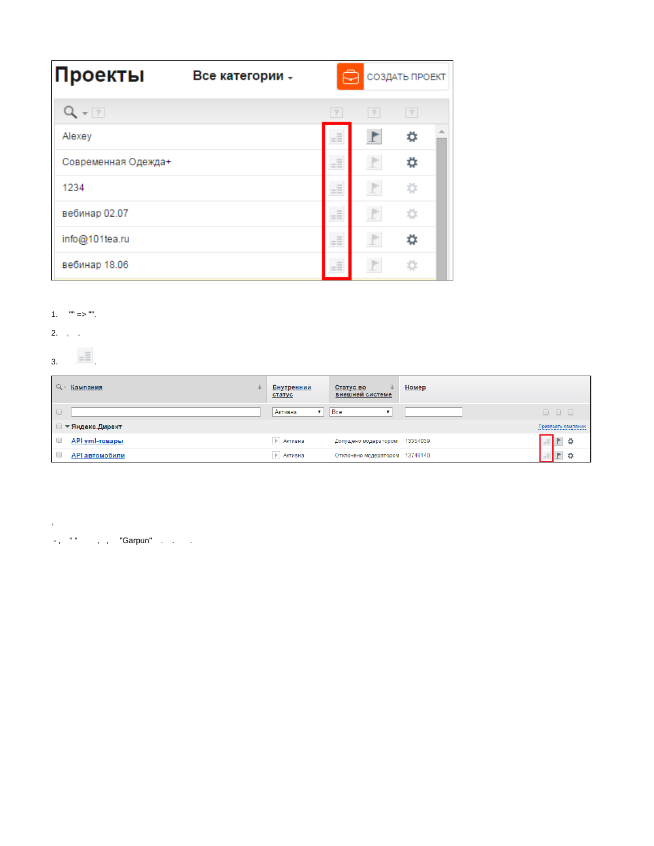| Проекты             |  | ុ<br>СОЗДАТЬ ПРОЕКТ                                                                                                                             |              |   |  |  |  |
|---------------------|--|-------------------------------------------------------------------------------------------------------------------------------------------------|--------------|---|--|--|--|
| $Q - 2$             |  | $\overline{?}$                                                                                                                                  | ?            | ? |  |  |  |
| Alexey              |  | $=\equiv$                                                                                                                                       | P            | ☆ |  |  |  |
| Современная Одежда+ |  | $=\equiv$                                                                                                                                       | $\mathbb F$  | ☆ |  |  |  |
| 1234                |  | $\frac{1}{2}$<br>$\frac{1}{2}$<br>$=$                                                                                                           | $\mathbb{P}$ | ☆ |  |  |  |
| вебинар 02.07       |  | $\equiv$<br>$-100$<br>$\frac{1}{2} \left( \frac{1}{2} \right) \left( \frac{1}{2} \right) \left( \frac{1}{2} \right) \left( \frac{1}{2} \right)$ | $\mathbb{P}$ | ☆ |  |  |  |
| info@101tea.ru      |  | $=$<br><b>COLLEGE</b>                                                                                                                           | P            | ☆ |  |  |  |
| вебинар 18.06       |  | $\equiv$<br>$\frac{1}{2}$<br><b>CONTRACTOR</b>                                                                                                  | P            | 厽 |  |  |  |

## 1.  $\degree$  =>  $\degree$ .

2.  $, \ldots$ 

## $3 \quad \square$

 $\mathcal{L}$ 

| $Q -$<br>Кампания     | Внутренний<br>статус | Статус во<br>внешней системе   | Номер    |                    |
|-----------------------|----------------------|--------------------------------|----------|--------------------|
| $\Box$                | Активна              | Bce<br>▼                       |          | 000                |
| ■ ▼ Яндекс.Директ     |                      |                                |          | Привязать кампании |
| <b>API уml-товары</b> | ▶ Активна            | Допущено модератором           | 13354039 | $\pm$ $\pm$<br>₿   |
| <b>АРІ автомобили</b> | ▶ Активна            | Отклонено модератором 13746140 |          | ٥<br>$=\equiv$     |

 $\overline{\phantom{a}}$ , "", , "Garpun" . . .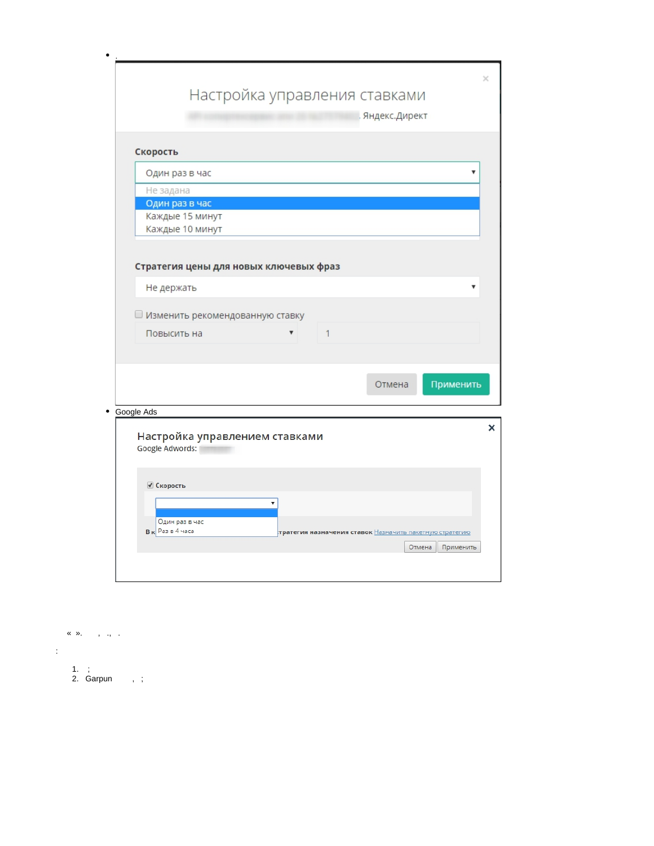|                                |                                        | Настройка управления ставками |   |                                                         |           |
|--------------------------------|----------------------------------------|-------------------------------|---|---------------------------------------------------------|-----------|
|                                |                                        |                               |   | Яндекс.Директ                                           |           |
|                                |                                        |                               |   |                                                         |           |
| Скорость                       |                                        |                               |   |                                                         |           |
| Один раз в час                 |                                        |                               |   |                                                         |           |
| Не задана                      |                                        |                               |   |                                                         |           |
| Один раз в час                 |                                        |                               |   |                                                         |           |
|                                | Каждые 15 минут                        |                               |   |                                                         |           |
|                                | Каждые 10 минут                        |                               |   |                                                         |           |
|                                | Стратегия цены для новых ключевых фраз |                               |   |                                                         |           |
| Не держать                     |                                        |                               |   |                                                         |           |
|                                |                                        |                               |   |                                                         |           |
|                                | □ Изменить рекомендованную ставку      |                               |   |                                                         |           |
| Повысить на                    |                                        | ▼                             | 1 |                                                         |           |
|                                |                                        |                               |   |                                                         |           |
|                                |                                        |                               |   |                                                         |           |
|                                |                                        |                               |   |                                                         | Применить |
|                                |                                        |                               |   | Отмена                                                  |           |
|                                |                                        |                               |   |                                                         |           |
|                                |                                        |                               |   |                                                         |           |
|                                | Настройка управлением ставками         |                               |   |                                                         |           |
| Google Adwords:                |                                        |                               |   |                                                         |           |
|                                |                                        |                               |   |                                                         |           |
| ● Скорость                     |                                        |                               |   |                                                         |           |
|                                |                                        | v                             |   |                                                         |           |
| Google Ads<br>В к Раз в 4 часа | Один раз в час                         |                               |   | тратегия назначения ставок Назначить пакетную стратегию |           |

- $\begin{array}{ccccccccc}\n\mathbf{X} & \mathbf{W}, & & \mathbf{W}, & & \mathbf{W}, & & \mathbf{W}.\n\end{array}$  $\mathcal{L}^{\text{max}}$ 1. ;<br>2. Garpun , ;
	-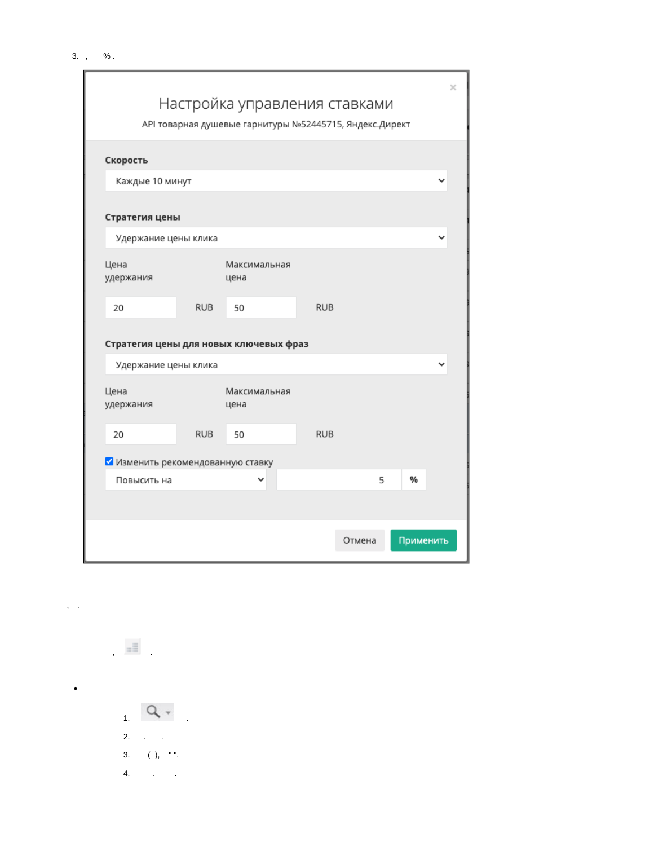|                                        |            | Настройка управления ставками                           |            |        |           | x           |
|----------------------------------------|------------|---------------------------------------------------------|------------|--------|-----------|-------------|
|                                        |            | АРІ товарная душевые гарнитуры №52445715, Яндекс.Директ |            |        |           |             |
| Скорость                               |            |                                                         |            |        |           |             |
| Каждые 10 минут                        |            |                                                         |            |        |           | $\check{ }$ |
| Стратегия цены                         |            |                                                         |            |        |           |             |
| Удержание цены клика                   |            |                                                         |            |        |           | v           |
| Цена<br>удержания                      |            | Максимальная<br>цена                                    |            |        |           |             |
| 20                                     | <b>RUB</b> | 50                                                      | <b>RUB</b> |        |           |             |
| Стратегия цены для новых ключевых фраз |            |                                                         |            |        |           |             |
| Удержание цены клика                   |            |                                                         |            |        |           |             |
| Цена<br>удержания                      |            | Максимальная<br>цена                                    |            |        |           |             |
| 20                                     | <b>RUB</b> | 50                                                      | <b>RUB</b> |        |           |             |
| Изменить рекомендованную ставку        |            |                                                         |            |        |           |             |
| Повысить на                            |            | v                                                       |            | 5      | %         |             |
|                                        |            |                                                         |            |        |           |             |
|                                        |            |                                                         |            | Отмена | Применить |             |

 $\frac{1}{2}$  $Q +$ 2.  $\therefore$ 3. ( ), " ".  $\frac{4}{3}$ 

 $\mathbf{y} = \mathbf{y}$  .

 $\bullet$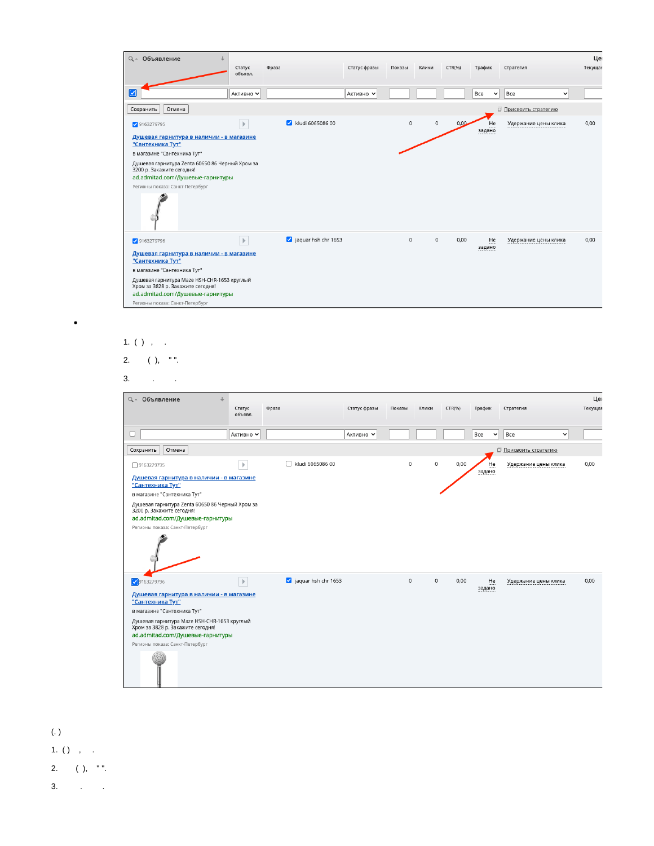| Q - Объявление                                                                   | Статус<br>Фраза<br>объявл. |                                             | Статус фразы | Показы      | Клики       | CTR(%) | Трафик              | Стратегия                  | Цe<br>Текущая |
|----------------------------------------------------------------------------------|----------------------------|---------------------------------------------|--------------|-------------|-------------|--------|---------------------|----------------------------|---------------|
| Ø                                                                                | Активно V                  |                                             | Активно V    |             |             |        | Bce<br>$\checkmark$ | Bce<br>$\check{ }$         |               |
| Отмена<br>Сохранить                                                              |                            |                                             |              |             |             |        |                     | <b>Присвоить стратегию</b> |               |
| 9163279795                                                                       | $\mathbb{P}$               | $\overline{\mathbf{v}}$<br>kludi 6065086 00 |              | $\circ$     | $\mathbf 0$ | 0,00   | He<br>задано        | Удержание цены клика       | 0,00          |
| Душевая гарнитура в наличии - в магазине<br>"Сантехника Тут"                     |                            |                                             |              |             |             |        |                     |                            |               |
| в магазине "Сантехника Тут"                                                      |                            |                                             |              |             |             |        |                     |                            |               |
| Душевая гарнитура Zenta 60650 86 Черный Хром за<br>3200 р. Закажите сегодня!     |                            |                                             |              |             |             |        |                     |                            |               |
| ad.admitad.com/Душевые-гарнитуры                                                 |                            |                                             |              |             |             |        |                     |                            |               |
| Регионы показа: Санкт-Петербург                                                  |                            |                                             |              |             |             |        |                     |                            |               |
|                                                                                  |                            |                                             |              |             |             |        |                     |                            |               |
| 9163279796                                                                       | $\,$ $\,$                  | aquar hsh chr 1653                          |              | $\mathbf 0$ | $\mathbf 0$ | 0,00   | He<br>задано        | Удержание цены клика       | 0,00          |
| Душевая гарнитура в наличии - в магазине<br>"Сантехника Тут"                     |                            |                                             |              |             |             |        |                     |                            |               |
| в магазине "Сантехника Тут"                                                      |                            |                                             |              |             |             |        |                     |                            |               |
| Душевая гарнитура Maze HSH-CHR-1653 круглый<br>Хром за 3828 р. Закажите сегодня! |                            |                                             |              |             |             |        |                     |                            |               |
| ad.admitad.com/Душевые-гарнитуры                                                 |                            |                                             |              |             |             |        |                     |                            |               |
| Регионы показа: Санкт-Петербург                                                  |                            |                                             |              |             |             |        |                     |                            |               |

## 1.  $( )$ , .

 $\bullet$ 

$$
2. \qquad ( ),\quad \text{"".}
$$

 $3.$ 

| Q - Объявление                                                                                                                                                                                                                                                       | Статус<br>объявл. | Фраза                 | Статус фразы | Показы      | Клики       | CTR(%) | Трафик              | Стратегия             | Це<br>Текущая |
|----------------------------------------------------------------------------------------------------------------------------------------------------------------------------------------------------------------------------------------------------------------------|-------------------|-----------------------|--------------|-------------|-------------|--------|---------------------|-----------------------|---------------|
| c                                                                                                                                                                                                                                                                    | Активно V         |                       | Активно V    |             |             |        | Bce<br>$\checkmark$ | Bce<br>$\checkmark$   |               |
| Отмена<br>Сохранить                                                                                                                                                                                                                                                  |                   |                       |              |             |             |        |                     | □ Присвоить стратегию |               |
| □ 9163279795<br>Душевая гарнитура в наличии - в магазине<br>"Сантехника Тут"<br>в магазине "Сантехника Тут"<br>Душевая гарнитура Zenta 60650 86 Черный Хром за<br>3200 р. Закажите сегодня!<br>ad.admitad.com/Душевые-гарнитуры<br>Регионы показа: Санкт-Петербург   | $\mathbb{P}$      | г<br>kludi 6065086 00 |              | $\mathbf 0$ | $\mathbf 0$ | 0,00   | He<br>задано        | Удержание цены клика  | 0,00          |
| 9163279796<br>Душевая гарнитура в наличии - в магазине<br>"Сантехника Тут"<br>в магазине "Сантехника Тут"<br>Душевая гарнитура Maze HSH-CHR-1653 круглый<br>Хром за 3828 р. Закажите сегодня!<br>ad.admitad.com/Душевые-гарнитуры<br>Регионы показа: Санкт-Петербург | $\,$ $\,$         | aquar hsh chr 1653    |              | $\circ$     | $\mathbf 0$ | 0.00   | He<br>задано        | Удержание цены клика  | 0,00          |

 $\left( .\ \right)$ 1. ( ) , . 2. ( ), " ".  $3.$   $\qquad \qquad$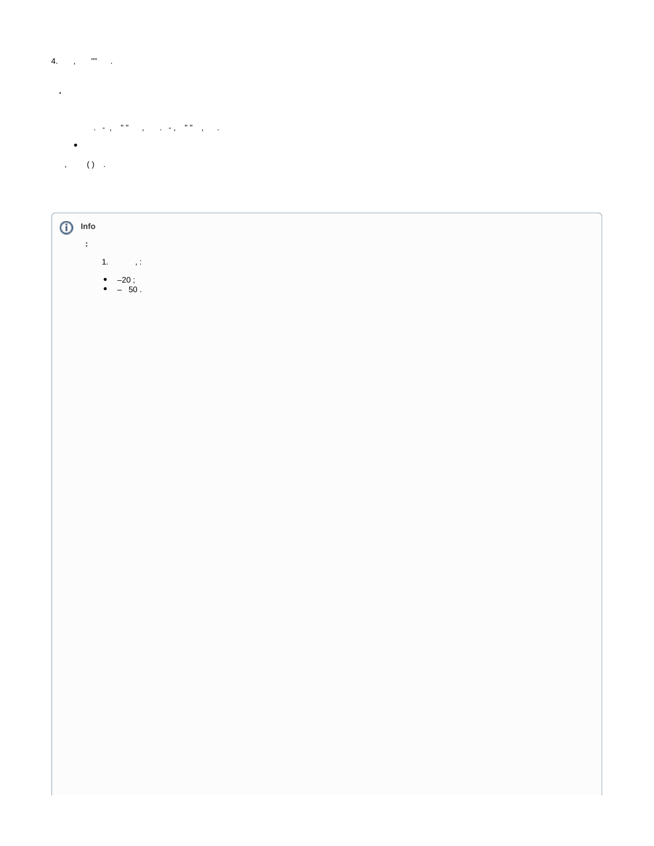## 4.  $\alpha_{\rm{max}}=0.00$

<span id="page-5-0"></span> $\mathcal{L}^{\text{max}}$  and  $\mathcal{L}^{\text{max}}$ 

- $\label{eq:1.1} \mathcal{L}_{\mathcal{A}}=\frac{1}{2}\left(\begin{array}{cc} 0 & 0 & 0 \\ 0 & 0 & 0 \\ 0 & 0 & 0 \end{array}\right)\quad \text{and} \quad \mathcal{L}_{\mathcal{A}}=\frac{1}{2}\left(\begin{array}{cc} 0 & 0 & 0 \\ 0 & 0 & 0 \\ 0 & 0 & 0 \end{array}\right)\quad \text{and}$
- $\bullet$

, ( ) .

| Info<br>$^\copyright$<br>$\sim$                          |
|----------------------------------------------------------|
| $\left\langle \mathbf{1},\cdots,\mathbf{1}\right\rangle$ |
| • $-20$ ;<br>• $-50$ .                                   |
|                                                          |
|                                                          |
|                                                          |
|                                                          |
|                                                          |
|                                                          |
|                                                          |
|                                                          |
|                                                          |
|                                                          |
|                                                          |
|                                                          |
|                                                          |
|                                                          |
|                                                          |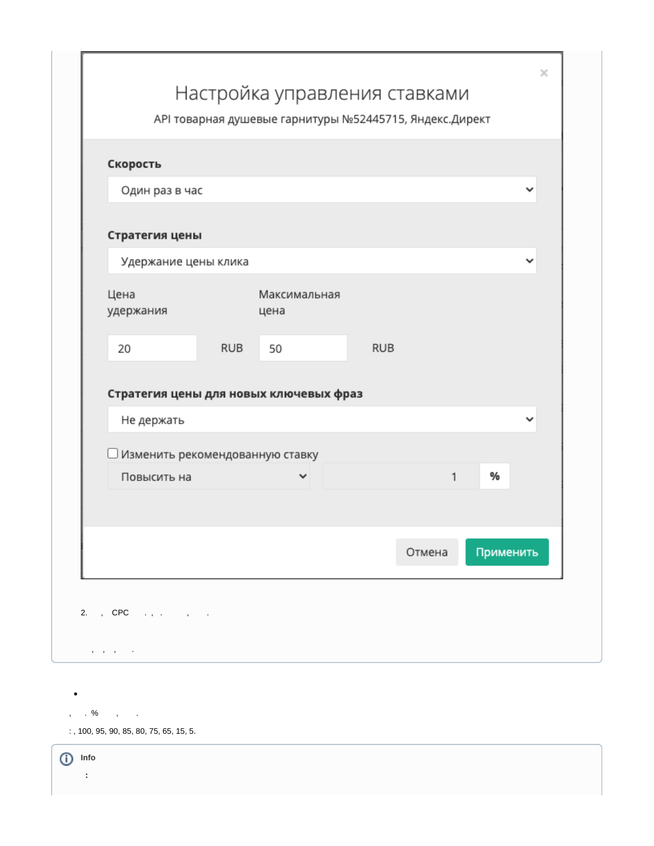| Скорость                                             |            |                      |            |        |           |              |
|------------------------------------------------------|------------|----------------------|------------|--------|-----------|--------------|
| Один раз в час                                       |            |                      |            |        |           | v            |
|                                                      |            |                      |            |        |           |              |
| Стратегия цены                                       |            |                      |            |        |           |              |
| Удержание цены клика                                 |            |                      |            |        |           | ∨            |
| Цена<br>удержания                                    |            | Максимальная<br>цена |            |        |           |              |
| 20                                                   | <b>RUB</b> | 50                   | <b>RUB</b> |        |           |              |
| Стратегия цены для новых ключевых фраз<br>Не держать |            |                      |            |        |           | $\checkmark$ |
| Изменить рекомендованную ставку                      |            |                      |            |        |           |              |
| Повысить на                                          |            | ✓                    |            | 1      | %         |              |
|                                                      |            |                      |            |        |           |              |
|                                                      |            |                      |            | Отмена | Применить |              |
|                                                      |            |                      |            |        |           |              |

 $, \qquad$  . % , .

 $\bullet$ 

 $:$ , 100, 95, 90, 85, 80, 75, 65, 15, 5.

 $\bigoplus$  Info  $\boldsymbol{\dot{z}}$